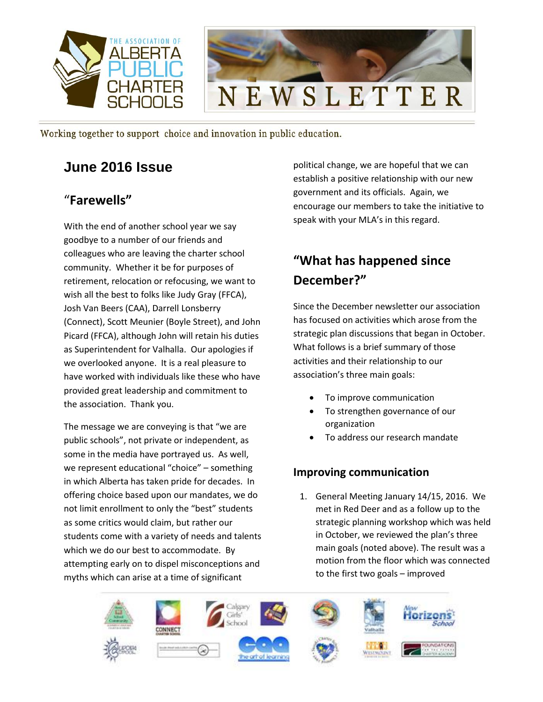

## **June 2016 Issue**

### "**Farewells"**

With the end of another school year we say goodbye to a number of our friends and colleagues who are leaving the charter school community. Whether it be for purposes of retirement, relocation or refocusing, we want to wish all the best to folks like Judy Gray (FFCA), Josh Van Beers (CAA), Darrell Lonsberry (Connect), Scott Meunier (Boyle Street), and John Picard (FFCA), although John will retain his duties as Superintendent for Valhalla. Our apologies if we overlooked anyone. It is a real pleasure to have worked with individuals like these who have provided great leadership and commitment to the association. Thank you.

The message we are conveying is that "we are public schools", not private or independent, as some in the media have portrayed us. As well, we represent educational "choice" – something in which Alberta has taken pride for decades. In offering choice based upon our mandates, we do not limit enrollment to only the "best" students as some critics would claim, but rather our students come with a variety of needs and talents which we do our best to accommodate. By attempting early on to dispel misconceptions and myths which can arise at a time of significant

political change, we are hopeful that we can establish a positive relationship with our new government and its officials. Again, we encourage our members to take the initiative to speak with your MLA's in this regard.

# **"What has happened since December?"**

Since the December newsletter our association has focused on activities which arose from the strategic plan discussions that began in October. What follows is a brief summary of those activities and their relationship to our association's three main goals:

- To improve communication
- To strengthen governance of our organization
- To address our research mandate

#### **Improving communication**

1. General Meeting January 14/15, 2016. We met in Red Deer and as a follow up to the strategic planning workshop which was held in October, we reviewed the plan's three main goals (noted above). The result was a motion from the floor which was connected to the first two goals – improved

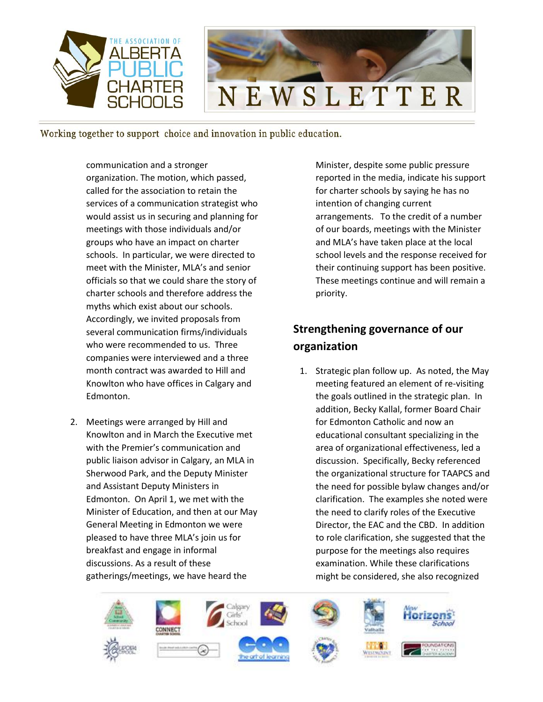

communication and a stronger organization. The motion, which passed, called for the association to retain the services of a communication strategist who would assist us in securing and planning for meetings with those individuals and/or groups who have an impact on charter schools. In particular, we were directed to meet with the Minister, MLA's and senior officials so that we could share the story of charter schools and therefore address the myths which exist about our schools. Accordingly, we invited proposals from several communication firms/individuals who were recommended to us. Three companies were interviewed and a three month contract was awarded to Hill and Knowlton who have offices in Calgary and Edmonton.

2. Meetings were arranged by Hill and Knowlton and in March the Executive met with the Premier's communication and public liaison advisor in Calgary, an MLA in Sherwood Park, and the Deputy Minister and Assistant Deputy Ministers in Edmonton. On April 1, we met with the Minister of Education, and then at our May General Meeting in Edmonton we were pleased to have three MLA's join us for breakfast and engage in informal discussions. As a result of these gatherings/meetings, we have heard the

Minister, despite some public pressure reported in the media, indicate his support for charter schools by saying he has no intention of changing current arrangements. To the credit of a number of our boards, meetings with the Minister and MLA's have taken place at the local school levels and the response received for their continuing support has been positive. These meetings continue and will remain a priority.

## **Strengthening governance of our organization**

1. Strategic plan follow up. As noted, the May meeting featured an element of re-visiting the goals outlined in the strategic plan. In addition, Becky Kallal, former Board Chair for Edmonton Catholic and now an educational consultant specializing in the area of organizational effectiveness, led a discussion. Specifically, Becky referenced the organizational structure for TAAPCS and the need for possible bylaw changes and/or clarification. The examples she noted were the need to clarify roles of the Executive Director, the EAC and the CBD. In addition to role clarification, she suggested that the purpose for the meetings also requires examination. While these clarifications might be considered, she also recognized

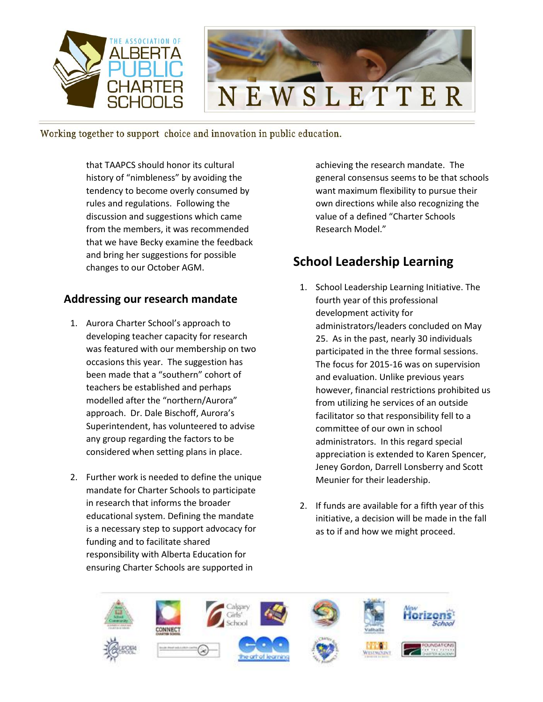

that TAAPCS should honor its cultural history of "nimbleness" by avoiding the tendency to become overly consumed by rules and regulations. Following the discussion and suggestions which came from the members, it was recommended that we have Becky examine the feedback and bring her suggestions for possible changes to our October AGM.

#### **Addressing our research mandate**

- 1. Aurora Charter School's approach to developing teacher capacity for research was featured with our membership on two occasions this year. The suggestion has been made that a "southern" cohort of teachers be established and perhaps modelled after the "northern/Aurora" approach. Dr. Dale Bischoff, Aurora's Superintendent, has volunteered to advise any group regarding the factors to be considered when setting plans in place.
- 2. Further work is needed to define the unique mandate for Charter Schools to participate in research that informs the broader educational system. Defining the mandate is a necessary step to support advocacy for funding and to facilitate shared responsibility with Alberta Education for ensuring Charter Schools are supported in

achieving the research mandate. The general consensus seems to be that schools want maximum flexibility to pursue their own directions while also recognizing the value of a defined "Charter Schools Research Model."

### **School Leadership Learning**

- 1. School Leadership Learning Initiative. The fourth year of this professional development activity for administrators/leaders concluded on May 25. As in the past, nearly 30 individuals participated in the three formal sessions. The focus for 2015-16 was on supervision and evaluation. Unlike previous years however, financial restrictions prohibited us from utilizing he services of an outside facilitator so that responsibility fell to a committee of our own in school administrators. In this regard special appreciation is extended to Karen Spencer, Jeney Gordon, Darrell Lonsberry and Scott Meunier for their leadership.
- 2. If funds are available for a fifth year of this initiative, a decision will be made in the fall as to if and how we might proceed.